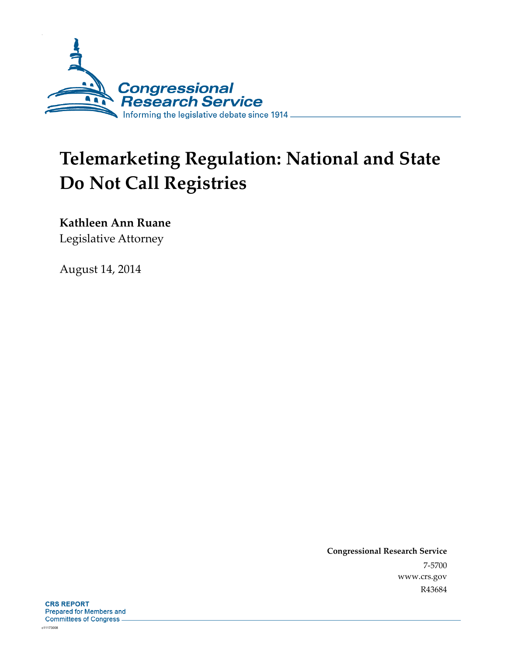

# **Telemarketing Regulation: National and State Do Not Call Registries**

**Kathleen Ann Ruane** 

Legislative Attorney

August 14, 2014

**Congressional Research Service**  7-5700 www.crs.gov R43684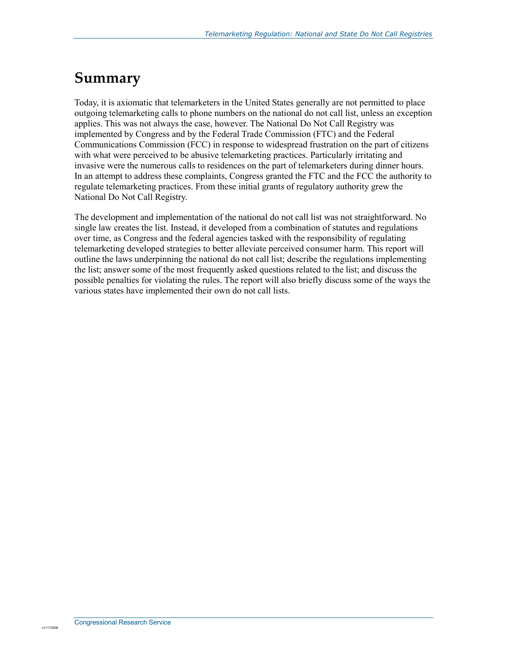# **Summary**

.

Today, it is axiomatic that telemarketers in the United States generally are not permitted to place outgoing telemarketing calls to phone numbers on the national do not call list, unless an exception applies. This was not always the case, however. The National Do Not Call Registry was implemented by Congress and by the Federal Trade Commission (FTC) and the Federal Communications Commission (FCC) in response to widespread frustration on the part of citizens with what were perceived to be abusive telemarketing practices. Particularly irritating and invasive were the numerous calls to residences on the part of telemarketers during dinner hours. In an attempt to address these complaints, Congress granted the FTC and the FCC the authority to regulate telemarketing practices. From these initial grants of regulatory authority grew the National Do Not Call Registry.

The development and implementation of the national do not call list was not straightforward. No single law creates the list. Instead, it developed from a combination of statutes and regulations over time, as Congress and the federal agencies tasked with the responsibility of regulating telemarketing developed strategies to better alleviate perceived consumer harm. This report will outline the laws underpinning the national do not call list; describe the regulations implementing the list; answer some of the most frequently asked questions related to the list; and discuss the possible penalties for violating the rules. The report will also briefly discuss some of the ways the various states have implemented their own do not call lists.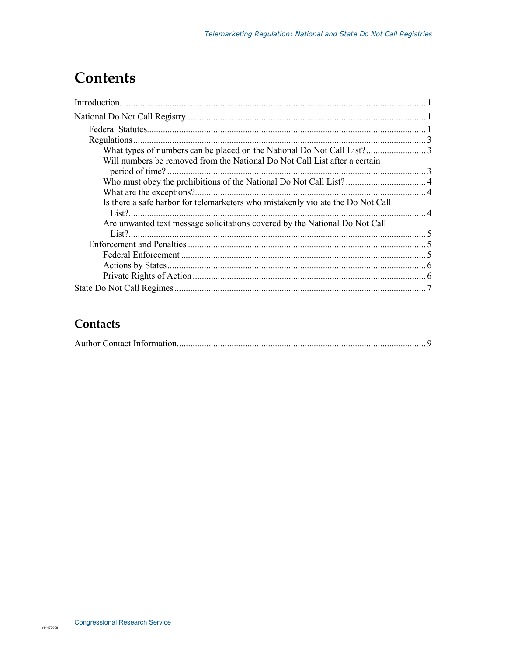# **Contents**

| Will numbers be removed from the National Do Not Call List after a certain<br>period of time?. |  |
|------------------------------------------------------------------------------------------------|--|
|                                                                                                |  |
| What are the exceptions?                                                                       |  |
| Is there a safe harbor for telemarketers who mistakenly violate the Do Not Call                |  |
| Are unwanted text message solicitations covered by the National Do Not Call                    |  |
|                                                                                                |  |
|                                                                                                |  |
|                                                                                                |  |
|                                                                                                |  |
|                                                                                                |  |

### Contacts

|--|--|--|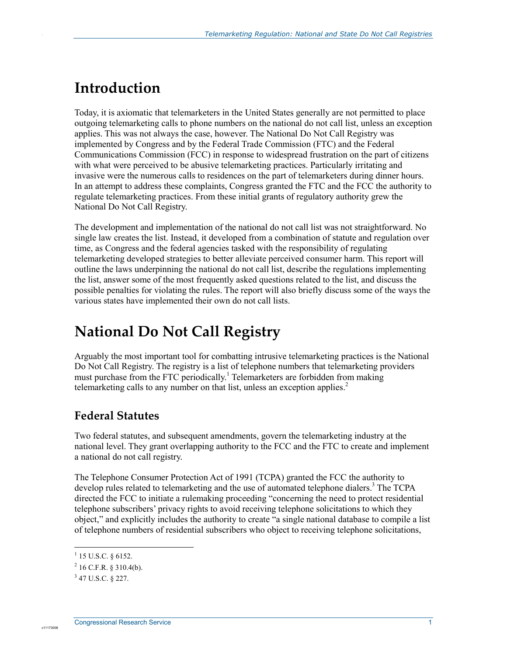# **Introduction**

.

Today, it is axiomatic that telemarketers in the United States generally are not permitted to place outgoing telemarketing calls to phone numbers on the national do not call list, unless an exception applies. This was not always the case, however. The National Do Not Call Registry was implemented by Congress and by the Federal Trade Commission (FTC) and the Federal Communications Commission (FCC) in response to widespread frustration on the part of citizens with what were perceived to be abusive telemarketing practices. Particularly irritating and invasive were the numerous calls to residences on the part of telemarketers during dinner hours. In an attempt to address these complaints, Congress granted the FTC and the FCC the authority to regulate telemarketing practices. From these initial grants of regulatory authority grew the National Do Not Call Registry.

The development and implementation of the national do not call list was not straightforward. No single law creates the list. Instead, it developed from a combination of statute and regulation over time, as Congress and the federal agencies tasked with the responsibility of regulating telemarketing developed strategies to better alleviate perceived consumer harm. This report will outline the laws underpinning the national do not call list, describe the regulations implementing the list, answer some of the most frequently asked questions related to the list, and discuss the possible penalties for violating the rules. The report will also briefly discuss some of the ways the various states have implemented their own do not call lists.

# **National Do Not Call Registry**

Arguably the most important tool for combatting intrusive telemarketing practices is the National Do Not Call Registry. The registry is a list of telephone numbers that telemarketing providers must purchase from the FTC periodically.<sup>1</sup> Telemarketers are forbidden from making telemarketing calls to any number on that list, unless an exception applies.<sup>2</sup>

### **Federal Statutes**

Two federal statutes, and subsequent amendments, govern the telemarketing industry at the national level. They grant overlapping authority to the FCC and the FTC to create and implement a national do not call registry.

The Telephone Consumer Protection Act of 1991 (TCPA) granted the FCC the authority to develop rules related to telemarketing and the use of automated telephone dialers.<sup>3</sup> The TCPA directed the FCC to initiate a rulemaking proceeding "concerning the need to protect residential telephone subscribers' privacy rights to avoid receiving telephone solicitations to which they object," and explicitly includes the authority to create "a single national database to compile a list of telephone numbers of residential subscribers who object to receiving telephone solicitations,

 1 15 U.S.C. § 6152.

 $^{2}$  16 C.F.R. § 310.4(b).

 $3$  47 U.S.C. § 227.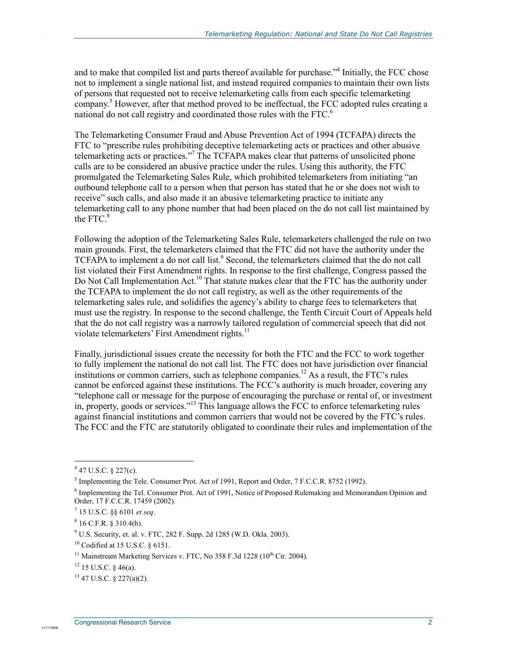and to make that compiled list and parts thereof available for purchase."<sup>4</sup> Initially, the FCC chose not to implement a single national list, and instead required companies to maintain their own lists of persons that requested not to receive telemarketing calls from each specific telemarketing company.<sup>5</sup> However, after that method proved to be ineffectual, the FCC adopted rules creating a national do not call registry and coordinated those rules with the FTC.<sup>6</sup>

The Telemarketing Consumer Fraud and Abuse Prevention Act of 1994 (TCFAPA) directs the FTC to "prescribe rules prohibiting deceptive telemarketing acts or practices and other abusive telemarketing acts or practices."<sup>7</sup> The TCFAPA makes clear that patterns of unsolicited phone calls are to be considered an abusive practice under the rules. Using this authority, the FTC promulgated the Telemarketing Sales Rule, which prohibited telemarketers from initiating "an outbound telephone call to a person when that person has stated that he or she does not wish to receive" such calls, and also made it an abusive telemarketing practice to initiate any telemarketing call to any phone number that had been placed on the do not call list maintained by the FTC. $8$ 

Following the adoption of the Telemarketing Sales Rule, telemarketers challenged the rule on two main grounds. First, the telemarketers claimed that the FTC did not have the authority under the TCFAPA to implement a do not call list.<sup>9</sup> Second, the telemarketers claimed that the do not call list violated their First Amendment rights. In response to the first challenge, Congress passed the Do Not Call Implementation Act.<sup>10</sup> That statute makes clear that the FTC has the authority under the TCFAPA to implement the do not call registry, as well as the other requirements of the telemarketing sales rule, and solidifies the agency's ability to charge fees to telemarketers that must use the registry. In response to the second challenge, the Tenth Circuit Court of Appeals held that the do not call registry was a narrowly tailored regulation of commercial speech that did not violate telemarketers' First Amendment rights.<sup>11</sup>

Finally, jurisdictional issues create the necessity for both the FTC and the FCC to work together to fully implement the national do not call list. The FTC does not have jurisdiction over financial institutions or common carriers, such as telephone companies.<sup>12</sup> As a result, the FTC's rules cannot be enforced against these institutions. The FCC's authority is much broader, covering any "telephone call or message for the purpose of encouraging the purchase or rental of, or investment in, property, goods or services."13 This language allows the FCC to enforce telemarketing rules against financial institutions and common carriers that would not be covered by the FTC's rules. The FCC and the FTC are statutorily obligated to coordinate their rules and implementation of the

.

 $447$  U.S.C. § 227(c).

<sup>&</sup>lt;sup>5</sup> Implementing the Tele. Consumer Prot. Act of 1991, Report and Order, 7 F.C.C.R. 8752 (1992).

<sup>&</sup>lt;sup>6</sup> Implementing the Tel. Consumer Prot. Act of 1991, Notice of Proposed Rulemaking and Memorandum Opinion and Order, 17 F.C.C.R. 17459 (2002).

<sup>7</sup> 15 U.S.C. §§ 6101 *et seq*.

 $8$  16 C.F.R. § 310.4(b).

<sup>9</sup> U.S. Security, et. al. v. FTC, 282 F. Supp. 2d 1285 (W.D. Okla. 2003).

 $10$  Codified at 15 U.S.C. § 6151.

<sup>&</sup>lt;sup>11</sup> Mainstream Marketing Services v. FTC, No  $358$  F.3d 1228 (10<sup>th</sup> Cir. 2004).

 $12$  15 U.S.C. § 46(a).

 $13$  47 U.S.C. § 227(a)(2).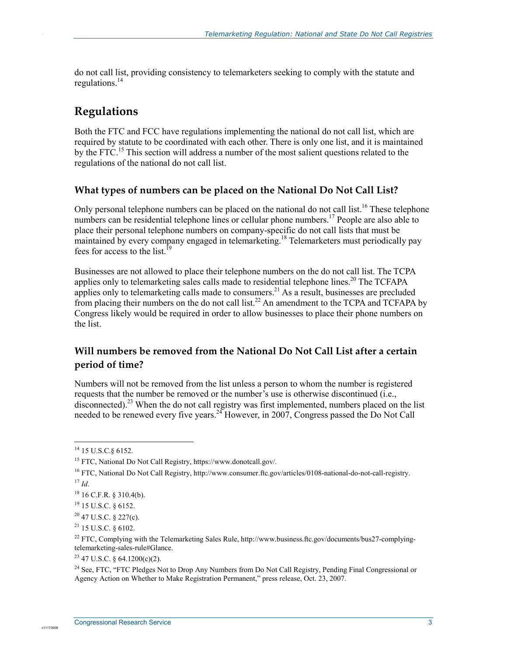do not call list, providing consistency to telemarketers seeking to comply with the statute and regulations. $14$ 

### **Regulations**

.

Both the FTC and FCC have regulations implementing the national do not call list, which are required by statute to be coordinated with each other. There is only one list, and it is maintained by the  $FTC<sup>15</sup>$ . This section will address a number of the most salient questions related to the regulations of the national do not call list.

#### **What types of numbers can be placed on the National Do Not Call List?**

Only personal telephone numbers can be placed on the national do not call list.<sup>16</sup> These telephone numbers can be residential telephone lines or cellular phone numbers.<sup>17</sup> People are also able to place their personal telephone numbers on company-specific do not call lists that must be maintained by every company engaged in telemarketing.<sup>18</sup> Telemarketers must periodically pay fees for access to the list.<sup>19</sup>

Businesses are not allowed to place their telephone numbers on the do not call list. The TCPA applies only to telemarketing sales calls made to residential telephone lines.<sup>20</sup> The TCFAPA applies only to telemarketing calls made to consumers.<sup>21</sup> As a result, businesses are precluded from placing their numbers on the do not call list.<sup>22</sup> An amendment to the TCPA and TCFAPA by Congress likely would be required in order to allow businesses to place their phone numbers on the list.

#### **Will numbers be removed from the National Do Not Call List after a certain period of time?**

Numbers will not be removed from the list unless a person to whom the number is registered requests that the number be removed or the number's use is otherwise discontinued (i.e., disconnected).<sup>23</sup> When the do not call registry was first implemented, numbers placed on the list needed to be renewed every five years.<sup>24</sup> However, in 2007, Congress passed the Do Not Call

<u>.</u>

<sup>&</sup>lt;sup>14</sup> 15 U.S.C.§ 6152.

<sup>15</sup> FTC, National Do Not Call Registry, https://www.donotcall.gov/.

<sup>&</sup>lt;sup>16</sup> FTC, National Do Not Call Registry, http://www.consumer.ftc.gov/articles/0108-national-do-not-call-registry.  $^{17}$  *Id.* 

 $18$  16 C.F.R. § 310.4(b).

<sup>19 15</sup> U.S.C. § 6152.

 $20$  47 U.S.C. § 227(c).

<sup>21 15</sup> U.S.C. § 6102.

<sup>&</sup>lt;sup>22</sup> FTC, Complying with the Telemarketing Sales Rule, http://www.business.ftc.gov/documents/bus27-complyingtelemarketing-sales-rule#Glance.

<sup>23 47</sup> U.S.C. § 64.1200(c)(2).

<sup>&</sup>lt;sup>24</sup> See, FTC, "FTC Pledges Not to Drop Any Numbers from Do Not Call Registry, Pending Final Congressional or Agency Action on Whether to Make Registration Permanent," press release, Oct. 23, 2007.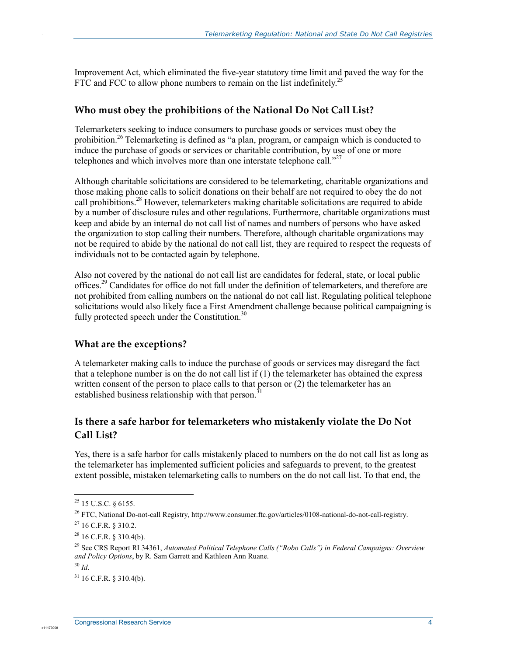Improvement Act, which eliminated the five-year statutory time limit and paved the way for the FTC and FCC to allow phone numbers to remain on the list indefinitely.<sup>25</sup>

#### **Who must obey the prohibitions of the National Do Not Call List?**

Telemarketers seeking to induce consumers to purchase goods or services must obey the prohibition.<sup>26</sup> Telemarketing is defined as "a plan, program, or campaign which is conducted to induce the purchase of goods or services or charitable contribution, by use of one or more telephones and which involves more than one interstate telephone call." $^{27}$ 

Although charitable solicitations are considered to be telemarketing, charitable organizations and those making phone calls to solicit donations on their behalf are not required to obey the do not call prohibitions.<sup>28</sup> However, telemarketers making charitable solicitations are required to abide by a number of disclosure rules and other regulations. Furthermore, charitable organizations must keep and abide by an internal do not call list of names and numbers of persons who have asked the organization to stop calling their numbers. Therefore, although charitable organizations may not be required to abide by the national do not call list, they are required to respect the requests of individuals not to be contacted again by telephone.

Also not covered by the national do not call list are candidates for federal, state, or local public offices.<sup>29</sup> Candidates for office do not fall under the definition of telemarketers, and therefore are not prohibited from calling numbers on the national do not call list. Regulating political telephone solicitations would also likely face a First Amendment challenge because political campaigning is fully protected speech under the Constitution. $30$ 

#### **What are the exceptions?**

A telemarketer making calls to induce the purchase of goods or services may disregard the fact that a telephone number is on the do not call list if (1) the telemarketer has obtained the express written consent of the person to place calls to that person or  $(2)$  the telemarketer has an established business relationship with that person.<sup>3</sup>

#### **Is there a safe harbor for telemarketers who mistakenly violate the Do Not Call List?**

Yes, there is a safe harbor for calls mistakenly placed to numbers on the do not call list as long as the telemarketer has implemented sufficient policies and safeguards to prevent, to the greatest extent possible, mistaken telemarketing calls to numbers on the do not call list. To that end, the

c1117300

1

.

 $25$  15 U.S.C. § 6155.

<sup>&</sup>lt;sup>26</sup> FTC, National Do-not-call Registry, http://www.consumer.ftc.gov/articles/0108-national-do-not-call-registry.

 $27$  16 C.F.R. § 310.2.

 $28$  16 C.F.R. § 310.4(b).

<sup>29</sup> See CRS Report RL34361, *Automated Political Telephone Calls ("Robo Calls") in Federal Campaigns: Overview and Policy Options*, by R. Sam Garrett and Kathleen Ann Ruane.

<sup>30</sup> *Id*.

 $31$  16 C.F.R. § 310.4(b).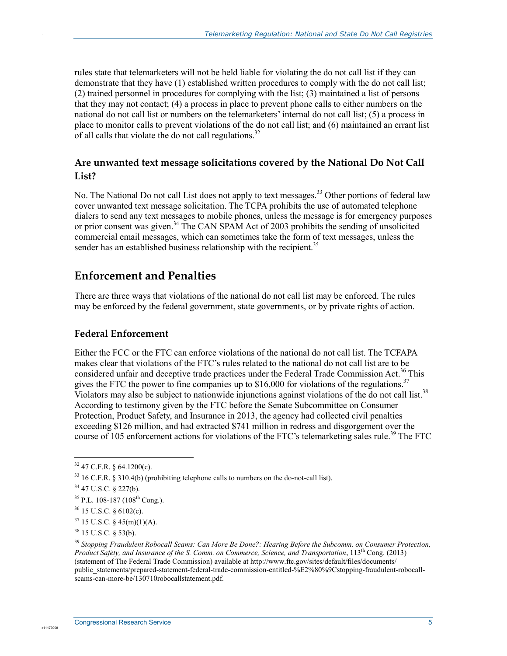rules state that telemarketers will not be held liable for violating the do not call list if they can demonstrate that they have (1) established written procedures to comply with the do not call list; (2) trained personnel in procedures for complying with the list; (3) maintained a list of persons that they may not contact; (4) a process in place to prevent phone calls to either numbers on the national do not call list or numbers on the telemarketers' internal do not call list; (5) a process in place to monitor calls to prevent violations of the do not call list; and (6) maintained an errant list of all calls that violate the do not call regulations.<sup>32</sup>

#### **Are unwanted text message solicitations covered by the National Do Not Call List?**

No. The National Do not call List does not apply to text messages.<sup>33</sup> Other portions of federal law cover unwanted text message solicitation. The TCPA prohibits the use of automated telephone dialers to send any text messages to mobile phones, unless the message is for emergency purposes or prior consent was given.<sup>34</sup> The CAN SPAM Act of 2003 prohibits the sending of unsolicited commercial email messages, which can sometimes take the form of text messages, unless the sender has an established business relationship with the recipient.<sup>35</sup>

### **Enforcement and Penalties**

There are three ways that violations of the national do not call list may be enforced. The rules may be enforced by the federal government, state governments, or by private rights of action.

#### **Federal Enforcement**

Either the FCC or the FTC can enforce violations of the national do not call list. The TCFAPA makes clear that violations of the FTC's rules related to the national do not call list are to be considered unfair and deceptive trade practices under the Federal Trade Commission Act.<sup>36</sup> This gives the FTC the power to fine companies up to  $$16,000$  for violations of the regulations.<sup>37</sup> Violators may also be subject to nationwide injunctions against violations of the do not call list.<sup>38</sup> According to testimony given by the FTC before the Senate Subcommittee on Consumer Protection, Product Safety, and Insurance in 2013, the agency had collected civil penalties exceeding \$126 million, and had extracted \$741 million in redress and disgorgement over the course of 105 enforcement actions for violations of the FTC's telemarketing sales rule.<sup>39</sup> The FTC

1

c1117300

.

 $32$  47 C.F.R. § 64.1200(c).

 $33$  16 C.F.R. § 310.4(b) (prohibiting telephone calls to numbers on the do-not-call list).

<sup>34 47</sup> U.S.C. § 227(b).

 $35$  P.L. 108-187 (108<sup>th</sup> Cong.).

 $36$  15 U.S.C. § 6102(c).

 $37$  15 U.S.C. § 45(m)(1)(A).

<sup>38 15</sup> U.S.C. § 53(b).

<sup>39</sup> *Stopping Fraudulent Robocall Scams: Can More Be Done?: Hearing Before the Subcomm. on Consumer Protection, Product Safety, and Insurance of the S. Comm. on Commerce, Science, and Transportation*, 113<sup>th</sup> Cong. (2013) (statement of The Federal Trade Commission) available at http://www.ftc.gov/sites/default/files/documents/ public\_statements/prepared-statement-federal-trade-commission-entitled-%E2%80%9Cstopping-fraudulent-robocallscams-can-more-be/130710robocallstatement.pdf.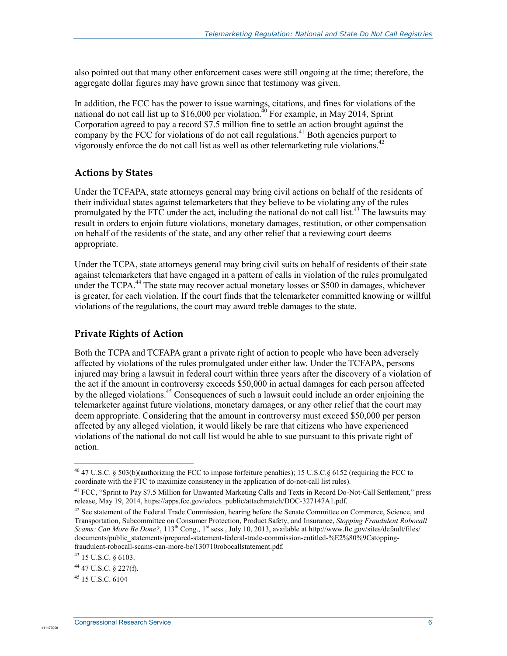also pointed out that many other enforcement cases were still ongoing at the time; therefore, the aggregate dollar figures may have grown since that testimony was given.

In addition, the FCC has the power to issue warnings, citations, and fines for violations of the national do not call list up to  $$16,000$  per violation.<sup>40</sup> For example, in May 2014, Sprint Corporation agreed to pay a record \$7.5 million fine to settle an action brought against the company by the FCC for violations of do not call regulations.<sup>41</sup> Both agencies purport to vigorously enforce the do not call list as well as other telemarketing rule violations.<sup>42</sup>

#### **Actions by States**

.

Under the TCFAPA, state attorneys general may bring civil actions on behalf of the residents of their individual states against telemarketers that they believe to be violating any of the rules promulgated by the FTC under the act, including the national do not call list.<sup>43</sup> The lawsuits may result in orders to enjoin future violations, monetary damages, restitution, or other compensation on behalf of the residents of the state, and any other relief that a reviewing court deems appropriate.

Under the TCPA, state attorneys general may bring civil suits on behalf of residents of their state against telemarketers that have engaged in a pattern of calls in violation of the rules promulgated under the TCPA.<sup>44</sup> The state may recover actual monetary losses or \$500 in damages, whichever is greater, for each violation. If the court finds that the telemarketer committed knowing or willful violations of the regulations, the court may award treble damages to the state.

#### **Private Rights of Action**

Both the TCPA and TCFAPA grant a private right of action to people who have been adversely affected by violations of the rules promulgated under either law. Under the TCFAPA, persons injured may bring a lawsuit in federal court within three years after the discovery of a violation of the act if the amount in controversy exceeds \$50,000 in actual damages for each person affected by the alleged violations.<sup>45</sup> Consequences of such a lawsuit could include an order enjoining the telemarketer against future violations, monetary damages, or any other relief that the court may deem appropriate. Considering that the amount in controversy must exceed \$50,000 per person affected by any alleged violation, it would likely be rare that citizens who have experienced violations of the national do not call list would be able to sue pursuant to this private right of action.

1

<sup>&</sup>lt;sup>40</sup> 47 U.S.C. § 503(b)(authorizing the FCC to impose forfeiture penalties); 15 U.S.C.§ 6152 (requiring the FCC to coordinate with the FTC to maximize consistency in the application of do-not-call list rules).

<sup>&</sup>lt;sup>41</sup> FCC, "Sprint to Pay \$7.5 Million for Unwanted Marketing Calls and Texts in Record Do-Not-Call Settlement," press release, May 19, 2014, https://apps.fcc.gov/edocs\_public/attachmatch/DOC-327147A1.pdf.

 $42$  See statement of the Federal Trade Commission, hearing before the Senate Committee on Commerce, Science, and Transportation, Subcommittee on Consumer Protection, Product Safety, and Insurance, *Stopping Fraudulent Robocall Scams: Can More Be Done?*, 113<sup>th</sup> Cong., 1<sup>st</sup> sess., July 10, 2013, available at http://www.ftc.gov/sites/default/files/ documents/public\_statements/prepared-statement-federal-trade-commission-entitled-%E2%80%9Cstoppingfraudulent-robocall-scams-can-more-be/130710robocallstatement.pdf.

<sup>43 15</sup> U.S.C. § 6103.

<sup>44 47</sup> U.S.C. § 227(f).

<sup>45 15</sup> U.S.C. 6104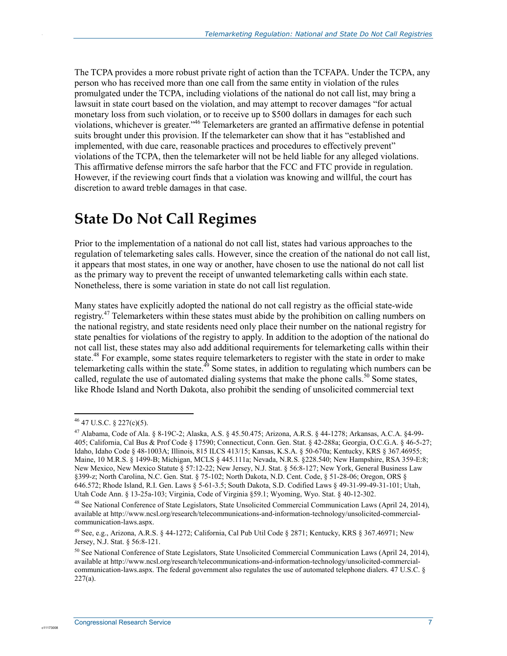The TCPA provides a more robust private right of action than the TCFAPA. Under the TCPA, any person who has received more than one call from the same entity in violation of the rules promulgated under the TCPA, including violations of the national do not call list, may bring a lawsuit in state court based on the violation, and may attempt to recover damages "for actual monetary loss from such violation, or to receive up to \$500 dollars in damages for each such violations, whichever is greater."<sup>46</sup> Telemarketers are granted an affirmative defense in potential suits brought under this provision. If the telemarketer can show that it has "established and implemented, with due care, reasonable practices and procedures to effectively prevent" violations of the TCPA, then the telemarketer will not be held liable for any alleged violations. This affirmative defense mirrors the safe harbor that the FCC and FTC provide in regulation. However, if the reviewing court finds that a violation was knowing and willful, the court has discretion to award treble damages in that case.

# **State Do Not Call Regimes**

Prior to the implementation of a national do not call list, states had various approaches to the regulation of telemarketing sales calls. However, since the creation of the national do not call list, it appears that most states, in one way or another, have chosen to use the national do not call list as the primary way to prevent the receipt of unwanted telemarketing calls within each state. Nonetheless, there is some variation in state do not call list regulation.

Many states have explicitly adopted the national do not call registry as the official state-wide registry.<sup>47</sup> Telemarketers within these states must abide by the prohibition on calling numbers on the national registry, and state residents need only place their number on the national registry for state penalties for violations of the registry to apply. In addition to the adoption of the national do not call list, these states may also add additional requirements for telemarketing calls within their state.<sup>48</sup> For example, some states require telemarketers to register with the state in order to make telemarketing calls within the state.<sup>49</sup> Some states, in addition to regulating which numbers can be called, regulate the use of automated dialing systems that make the phone calls.<sup>50</sup> Some states, like Rhode Island and North Dakota, also prohibit the sending of unsolicited commercial text

1

.

 $46$  47 U.S.C. § 227(c)(5).

<sup>47</sup> Alabama, Code of Ala. § 8-19C-2; Alaska, A.S. § 45.50.475; Arizona, A.R.S. § 44-1278; Arkansas, A.C.A. §4-99- 405; California, Cal Bus & Prof Code § 17590; Connecticut, Conn. Gen. Stat. § 42-288a; Georgia, O.C.G.A. § 46-5-27; Idaho, Idaho Code § 48-1003A; Illinois, 815 ILCS 413/15; Kansas, K.S.A. § 50-670a; Kentucky, KRS § 367.46955; Maine, 10 M.R.S. § 1499-B; Michigan, MCLS § 445.111a; Nevada, N.R.S. §228.540; New Hampshire, RSA 359-E:8; New Mexico, New Mexico Statute § 57:12-22; New Jersey, N.J. Stat. § 56:8-127; New York, General Business Law §399-z; North Carolina, N.C. Gen. Stat. § 75-102; North Dakota, N.D. Cent. Code, § 51-28-06; Oregon, ORS § 646.572; Rhode Island, R.I. Gen. Laws § 5-61-3.5; South Dakota, S.D. Codified Laws § 49-31-99-49-31-101; Utah, Utah Code Ann. § 13-25a-103; Virginia, Code of Virginia §59.1; Wyoming, Wyo. Stat. § 40-12-302.

<sup>&</sup>lt;sup>48</sup> See National Conference of State Legislators, State Unsolicited Commercial Communication Laws (April 24, 2014), available at http://www.ncsl.org/research/telecommunications-and-information-technology/unsolicited-commercialcommunication-laws.aspx.

<sup>49</sup> See, e.g., Arizona, A.R.S. § 44-1272; California, Cal Pub Util Code § 2871; Kentucky, KRS § 367.46971; New Jersey, N.J. Stat. § 56:8-121.

<sup>50</sup> See National Conference of State Legislators, State Unsolicited Commercial Communication Laws (April 24, 2014), available at http://www.ncsl.org/research/telecommunications-and-information-technology/unsolicited-commercialcommunication-laws.aspx. The federal government also regulates the use of automated telephone dialers. 47 U.S.C. §  $227(a)$ .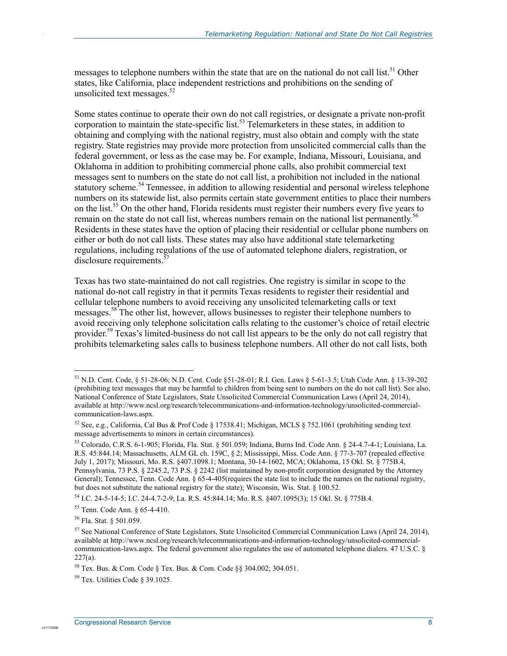messages to telephone numbers within the state that are on the national do not call list.<sup>51</sup> Other states, like California, place independent restrictions and prohibitions on the sending of unsolicited text messages. $52$ 

Some states continue to operate their own do not call registries, or designate a private non-profit corporation to maintain the state-specific list.<sup>53</sup> Telemarketers in these states, in addition to obtaining and complying with the national registry, must also obtain and comply with the state registry. State registries may provide more protection from unsolicited commercial calls than the federal government, or less as the case may be. For example, Indiana, Missouri, Louisiana, and Oklahoma in addition to prohibiting commercial phone calls, also prohibit commercial text messages sent to numbers on the state do not call list, a prohibition not included in the national statutory scheme.<sup>54</sup> Tennessee, in addition to allowing residential and personal wireless telephone numbers on its statewide list, also permits certain state government entities to place their numbers on the list.<sup>55</sup> On the other hand, Florida residents must register their numbers every five years to remain on the state do not call list, whereas numbers remain on the national list permanently.<sup>56</sup> Residents in these states have the option of placing their residential or cellular phone numbers on either or both do not call lists. These states may also have additional state telemarketing regulations, including regulations of the use of automated telephone dialers, registration, or disclosure requirements. $\frac{57}{3}$ 

Texas has two state-maintained do not call registries. One registry is similar in scope to the national do-not call registry in that it permits Texas residents to register their residential and cellular telephone numbers to avoid receiving any unsolicited telemarketing calls or text messages.<sup>58</sup> The other list, however, allows businesses to register their telephone numbers to avoid receiving only telephone solicitation calls relating to the customer's choice of retail electric provider.59 Texas's limited-business do not call list appears to be the only do not call registry that prohibits telemarketing sales calls to business telephone numbers. All other do not call lists, both

<u>.</u>

.

<sup>51</sup> N.D. Cent. Code, § 51-28-06; N.D. Cent. Code §51-28-01; R.I. Gen. Laws § 5-61-3.5; Utah Code Ann. § 13-39-202 (prohibiting text messages that may be harmful to children from being sent to numbers on the do not call list). See also, National Conference of State Legislators, State Unsolicited Commercial Communication Laws (April 24, 2014), available at http://www.ncsl.org/research/telecommunications-and-information-technology/unsolicited-commercialcommunication-laws.aspx.

<sup>&</sup>lt;sup>52</sup> See, e.g., California, Cal Bus & Prof Code § 17538.41; Michigan, MCLS § 752.1061 (prohibiting sending text message advertisements to minors in certain circumstances).

<sup>53</sup> Colorado, C.R.S. 6-1-905; Florida, Fla. Stat. § 501.059; Indiana, Burns Ind. Code Ann. § 24-4.7-4-1; Louisiana, La. R.S. 45:844.14; Massachusetts, ALM GL ch. 159C, § 2; Mississippi, Miss. Code Ann. § 77-3-707 (repealed effective July 1, 2017); Missouri, Mo. R.S. §407.1098.1; Montana, 30-14-1602, MCA; Oklahoma, 15 Okl. St. § 775B.4, Pennsylvania, 73 P.S. § 2245.2, 73 P.S. § 2242 (list maintained by non-profit corporation designated by the Attorney General); Tennessee, Tenn. Code Ann. § 65-4-405(requires the state list to include the names on the national registry, but does not substitute the national registry for the state); Wisconsin, Wis. Stat. § 100.52.

<sup>54</sup> I.C. 24-5-14-5; I.C. 24-4.7-2-9; La. R.S. 45:844.14; Mo. R.S. §407.1095(3); 15 Okl. St. § 775B.4.

<sup>55</sup> Tenn. Code Ann. § 65-4-410.

<sup>56</sup> Fla. Stat. § 501.059.

<sup>57</sup> See National Conference of State Legislators, State Unsolicited Commercial Communication Laws (April 24, 2014), available at http://www.ncsl.org/research/telecommunications-and-information-technology/unsolicited-commercialcommunication-laws.aspx. The federal government also regulates the use of automated telephone dialers. 47 U.S.C. §  $227(a)$ .

<sup>58</sup> Tex. Bus. & Com. Code § Tex. Bus. & Com. Code §§ 304.002; 304.051.

<sup>59</sup> Tex. Utilities Code § 39.1025.